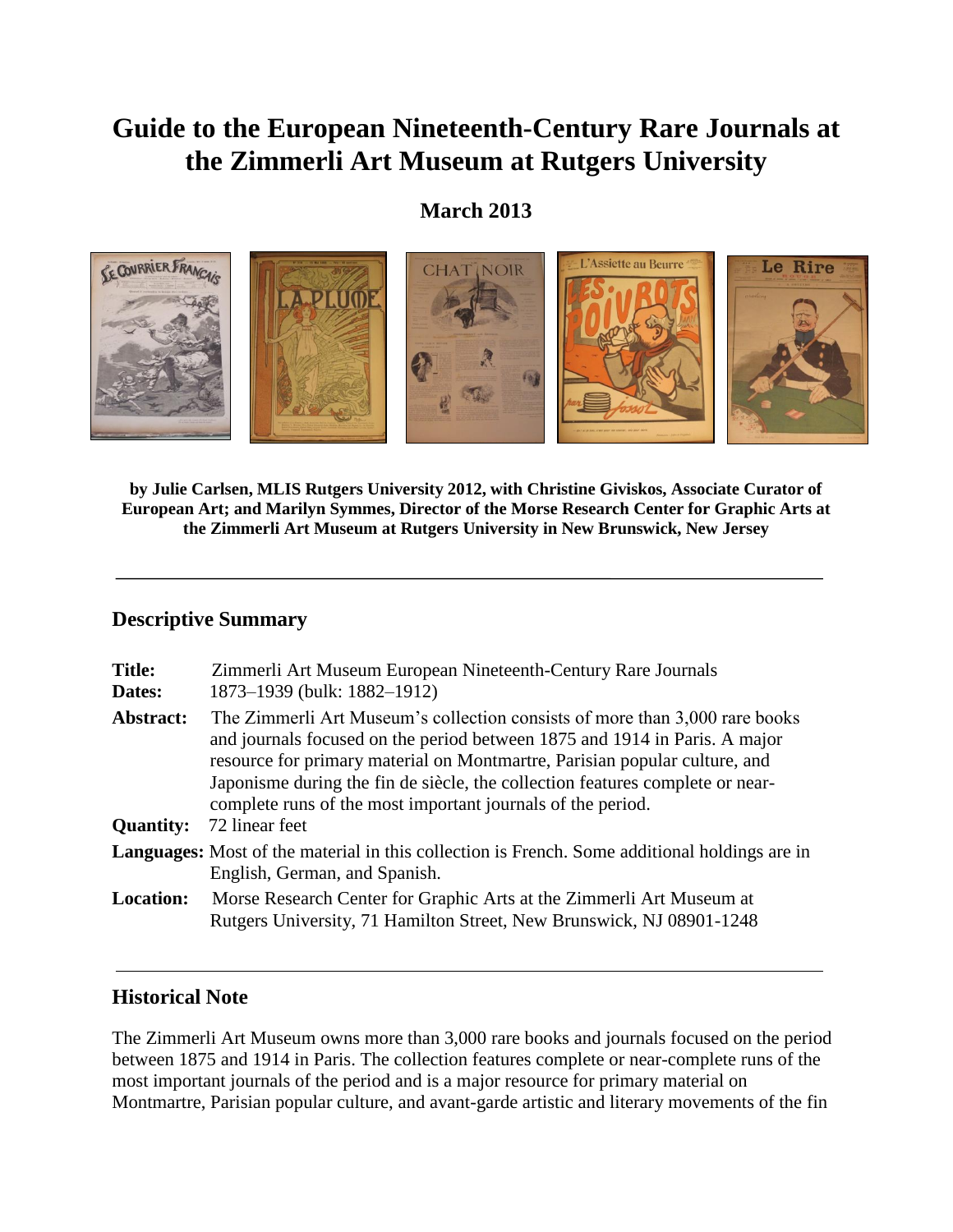# **Guide to the European Nineteenth-Century Rare Journals at the Zimmerli Art Museum at Rutgers University**

# **March 2013**



**by Julie Carlsen, MLIS Rutgers University 2012, with Christine Giviskos, Associate Curator of European Art; and Marilyn Symmes, Director of the Morse Research Center for Graphic Arts at the Zimmerli Art Museum at Rutgers University in New Brunswick, New Jersey**

# **Descriptive Summary**

| <b>Title:</b><br>Dates:       | Zimmerli Art Museum European Nineteenth-Century Rare Journals<br>1873–1939 (bulk: 1882–1912)                                                                                                                                                                                                                                                                                                              |
|-------------------------------|-----------------------------------------------------------------------------------------------------------------------------------------------------------------------------------------------------------------------------------------------------------------------------------------------------------------------------------------------------------------------------------------------------------|
| Abstract:<br><b>Quantity:</b> | The Zimmerli Art Museum's collection consists of more than 3,000 rare books<br>and journals focused on the period between 1875 and 1914 in Paris. A major<br>resource for primary material on Montmartre, Parisian popular culture, and<br>Japonisme during the fin de siècle, the collection features complete or near-<br>complete runs of the most important journals of the period.<br>72 linear feet |
|                               | <b>Languages:</b> Most of the material in this collection is French. Some additional holdings are in<br>English, German, and Spanish.                                                                                                                                                                                                                                                                     |
| <b>Location:</b>              | Morse Research Center for Graphic Arts at the Zimmerli Art Museum at<br>Rutgers University, 71 Hamilton Street, New Brunswick, NJ 08901-1248                                                                                                                                                                                                                                                              |

# **Historical Note**

The Zimmerli Art Museum owns more than 3,000 rare books and journals focused on the period between 1875 and 1914 in Paris. The collection features complete or near-complete runs of the most important journals of the period and is a major resource for primary material on Montmartre, Parisian popular culture, and avant-garde artistic and literary movements of the fin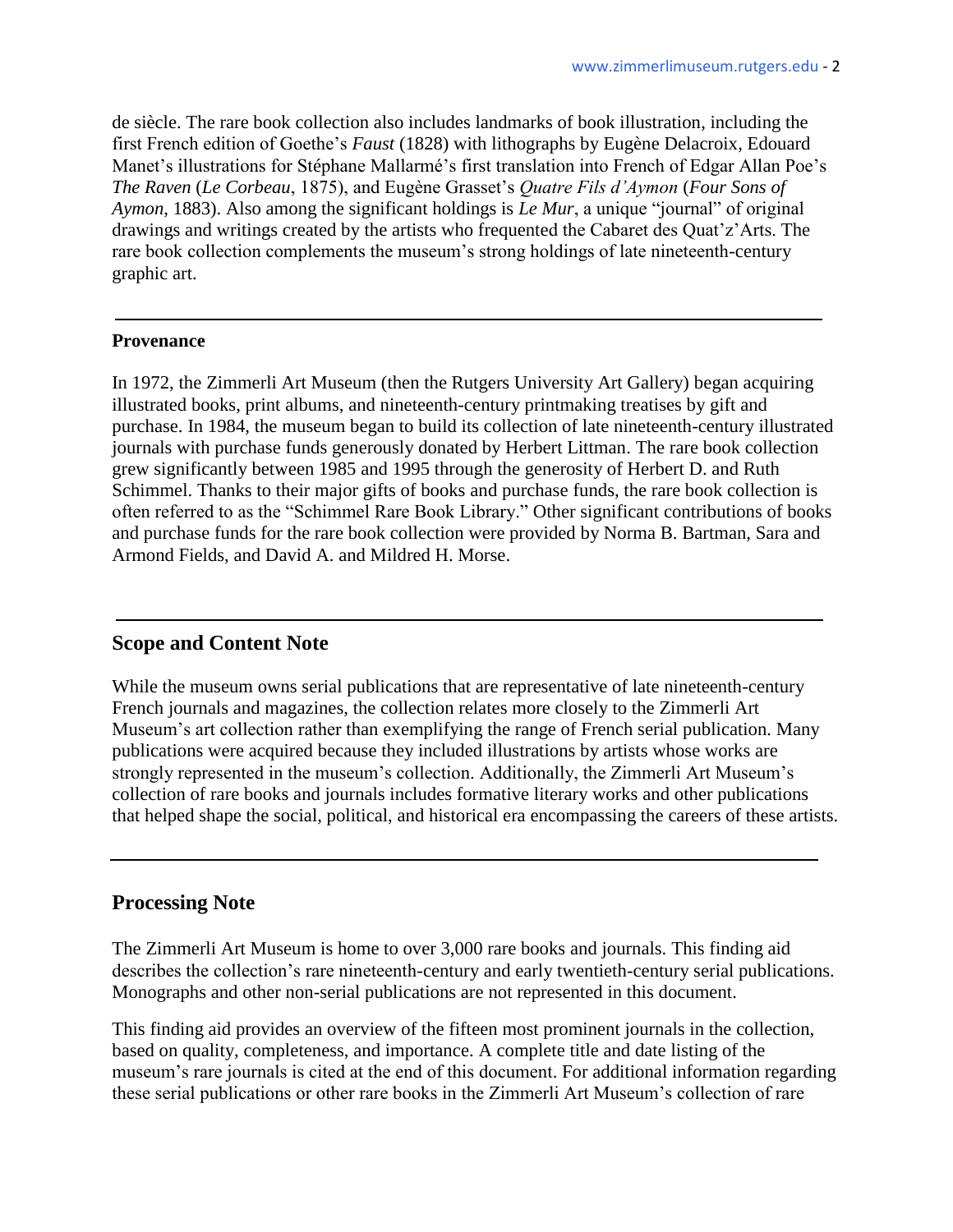de siècle. The rare book collection also includes landmarks of book illustration, including the first French edition of Goethe's *Faust* (1828) with lithographs by Eugène Delacroix, Edouard Manet's illustrations for Stéphane Mallarmé's first translation into French of Edgar Allan Poe's *The Raven* (*Le Corbeau*, 1875), and Eugène Grasset's *Quatre Fils d'Aymon* (*Four Sons of Aymon*, 1883). Also among the significant holdings is *Le Mur*, a unique "journal" of original drawings and writings created by the artists who frequented the Cabaret des Quat'z'Arts. The rare book collection complements the museum's strong holdings of late nineteenth-century graphic art.

#### **Provenance**

In 1972, the Zimmerli Art Museum (then the Rutgers University Art Gallery) began acquiring illustrated books, print albums, and nineteenth-century printmaking treatises by gift and purchase. In 1984, the museum began to build its collection of late nineteenth-century illustrated journals with purchase funds generously donated by Herbert Littman. The rare book collection grew significantly between 1985 and 1995 through the generosity of Herbert D. and Ruth Schimmel. Thanks to their major gifts of books and purchase funds, the rare book collection is often referred to as the "Schimmel Rare Book Library." Other significant contributions of books and purchase funds for the rare book collection were provided by Norma B. Bartman, Sara and Armond Fields, and David A. and Mildred H. Morse.

### **Scope and Content Note**

While the museum owns serial publications that are representative of late nineteenth-century French journals and magazines, the collection relates more closely to the Zimmerli Art Museum's art collection rather than exemplifying the range of French serial publication. Many publications were acquired because they included illustrations by artists whose works are strongly represented in the museum's collection. Additionally, the Zimmerli Art Museum's collection of rare books and journals includes formative literary works and other publications that helped shape the social, political, and historical era encompassing the careers of these artists.

### **Processing Note**

The Zimmerli Art Museum is home to over 3,000 rare books and journals. This finding aid describes the collection's rare nineteenth-century and early twentieth-century serial publications. Monographs and other non-serial publications are not represented in this document.

This finding aid provides an overview of the fifteen most prominent journals in the collection, based on quality, completeness, and importance. A complete title and date listing of the museum's rare journals is cited at the end of this document. For additional information regarding these serial publications or other rare books in the Zimmerli Art Museum's collection of rare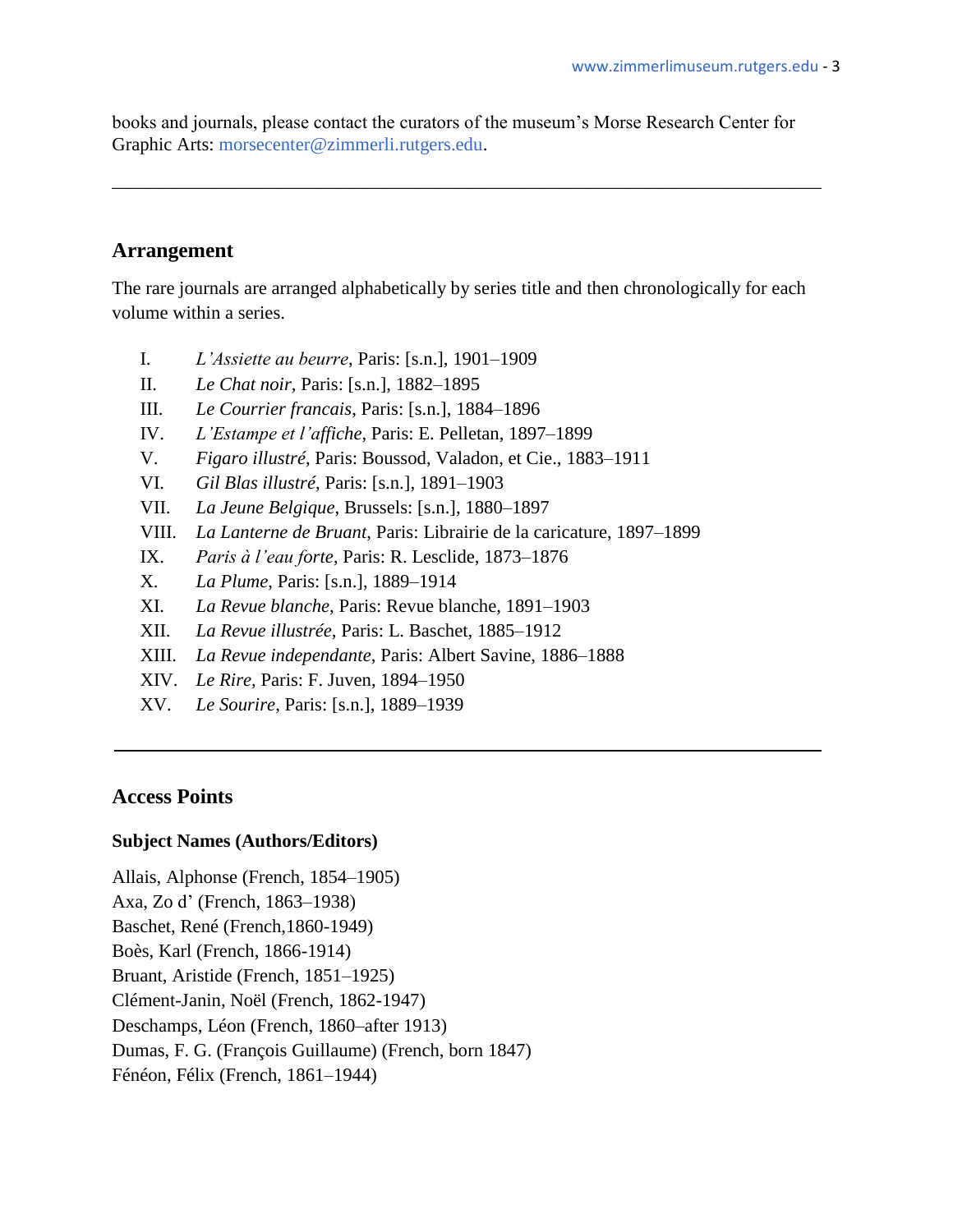books and journals, please contact the curators of the museum's Morse Research Center for Graphic Arts: [morsecenter@zimmerli.rutgers.edu.](mailto:morsecenter@zimmerli.rutgers.edu)

\_\_\_\_\_\_\_\_\_\_\_\_\_\_\_\_\_\_\_\_\_\_\_\_\_\_\_\_\_\_\_\_\_\_\_\_\_\_\_\_\_\_\_\_\_\_\_\_\_\_\_\_\_\_\_\_\_\_\_\_\_\_\_\_\_\_\_\_\_\_\_\_\_\_\_\_

### **Arrangement**

The rare journals are arranged alphabetically by series title and then chronologically for each volume within a series.

- I. *L'Assiette au beurre*, Paris: [s.n.], 1901–1909
- II. *Le Chat noir,* Paris: [s.n.], 1882–1895
- III. *Le Courrier francais*, Paris: [s.n.], 1884–1896
- IV. *L'Estampe et l'affiche*, Paris: E. Pelletan, 1897–1899
- V. *Figaro illustré*, Paris: Boussod, Valadon, et Cie., 1883–1911
- VI. *Gil Blas illustré*, Paris: [s.n.], 1891–1903
- VII. *La Jeune Belgique*, Brussels: [s.n.], 1880–1897
- VIII. *La Lanterne de Bruant*, Paris: Librairie de la caricature, 1897–1899
- IX. *Paris à l'eau forte*, Paris: R. Lesclide, 1873–1876
- X. *La Plume*, Paris: [s.n.], 1889–1914
- XI. *La Revue blanche*, Paris: Revue blanche, 1891–1903
- XII. *La Revue illustrée*, Paris: L. Baschet, 1885–1912
- XIII. *La Revue independante*, Paris: Albert Savine, 1886–1888
- XIV. *Le Rire,* Paris: F. Juven, 1894–1950
- XV. *Le Sourire*, Paris: [s.n.], 1889–1939

### **Access Points**

#### **Subject Names (Authors/Editors)**

Allais, Alphonse (French, 1854–1905) Axa, Zo d' (French, 1863–1938) Baschet, René (French,1860-1949) Boès, Karl (French, 1866-1914) Bruant, Aristide (French, 1851–1925) Clément-Janin, Noël (French, 1862-1947) Deschamps, Léon (French, 1860–after 1913) Dumas, F. G. (François Guillaume) (French, born 1847) Fénéon, Félix (French, 1861–1944)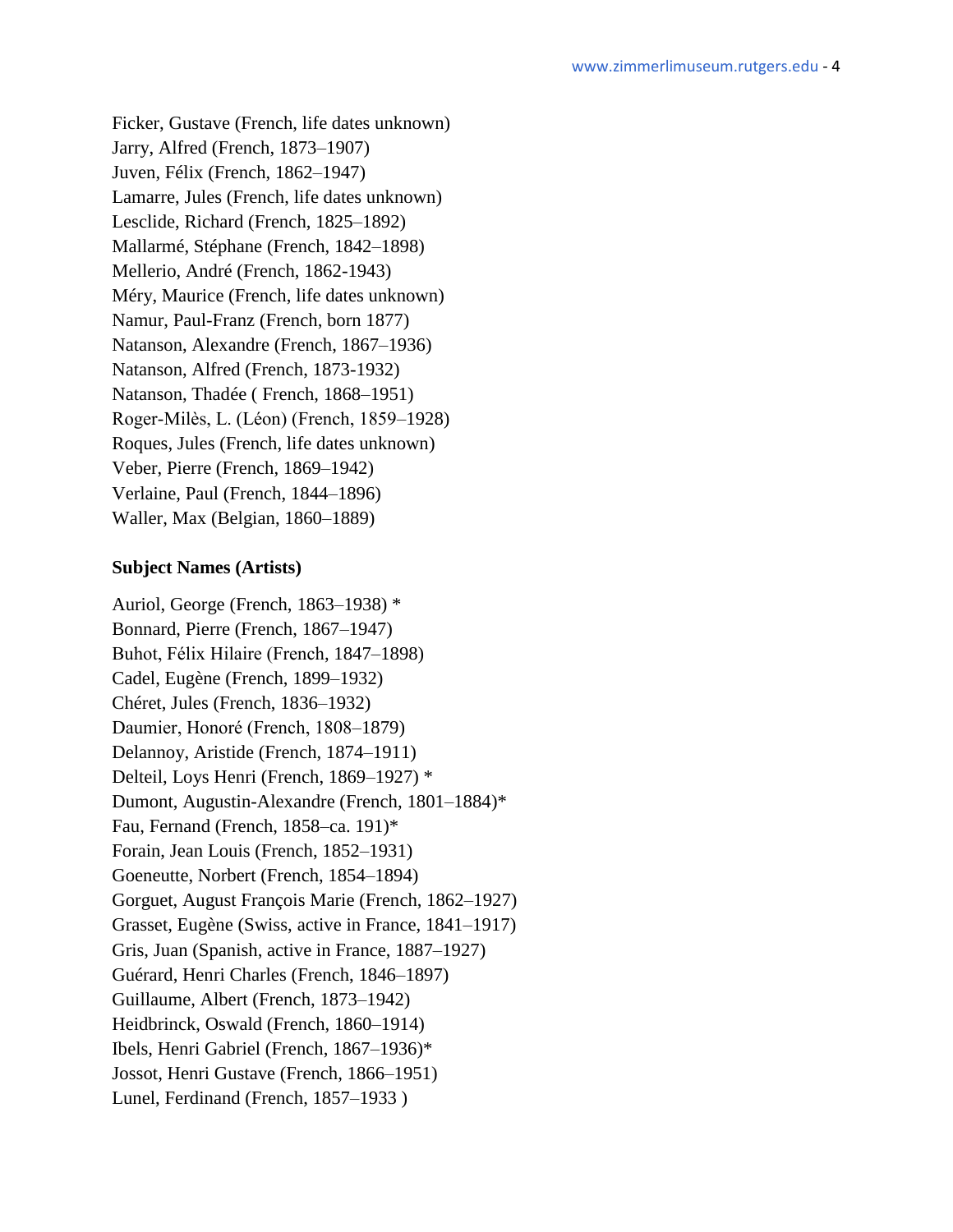Ficker, Gustave (French, life dates unknown) Jarry, Alfred (French, 1873–1907) Juven, Félix (French, 1862–1947) Lamarre, Jules (French, life dates unknown) Lesclide, Richard (French, 1825–1892) Mallarmé, Stéphane (French, 1842–1898) Mellerio, André (French, 1862-1943) Méry, Maurice (French, life dates unknown) Namur, Paul-Franz (French, born 1877) Natanson, Alexandre (French, 1867–1936) Natanson, Alfred (French, 1873-1932) Natanson, Thadée ( French, 1868–1951) Roger-Milès, L. (Léon) (French, 1859–1928) Roques, Jules (French, life dates unknown) Veber, Pierre (French, 1869–1942) Verlaine, Paul (French, 1844–1896) Waller, Max (Belgian, 1860–1889)

#### **Subject Names (Artists)**

Auriol, George (French, 1863–1938) \* Bonnard, Pierre (French, 1867–1947) Buhot, Félix Hilaire (French, 1847–1898) Cadel, Eugène (French, 1899–1932) Chéret, Jules (French, 1836–1932) Daumier, Honoré (French, 1808–1879) Delannoy, Aristide (French, 1874–1911) Delteil, Loys Henri (French, 1869–1927) \* Dumont, Augustin-Alexandre (French, 1801–1884)\* Fau, Fernand (French, 1858–ca. 191)\* Forain, Jean Louis (French, 1852–1931) Goeneutte, Norbert (French, 1854–1894) Gorguet, August François Marie (French, 1862–1927) Grasset, Eugène (Swiss, active in France, 1841–1917) Gris, Juan (Spanish, active in France, 1887–1927) Guérard, Henri Charles (French, 1846–1897) Guillaume, Albert (French, 1873–1942) Heidbrinck, Oswald (French, 1860–1914) Ibels, Henri Gabriel (French, 1867–1936)\* Jossot, Henri Gustave (French, 1866–1951) Lunel, Ferdinand (French, 1857–1933 )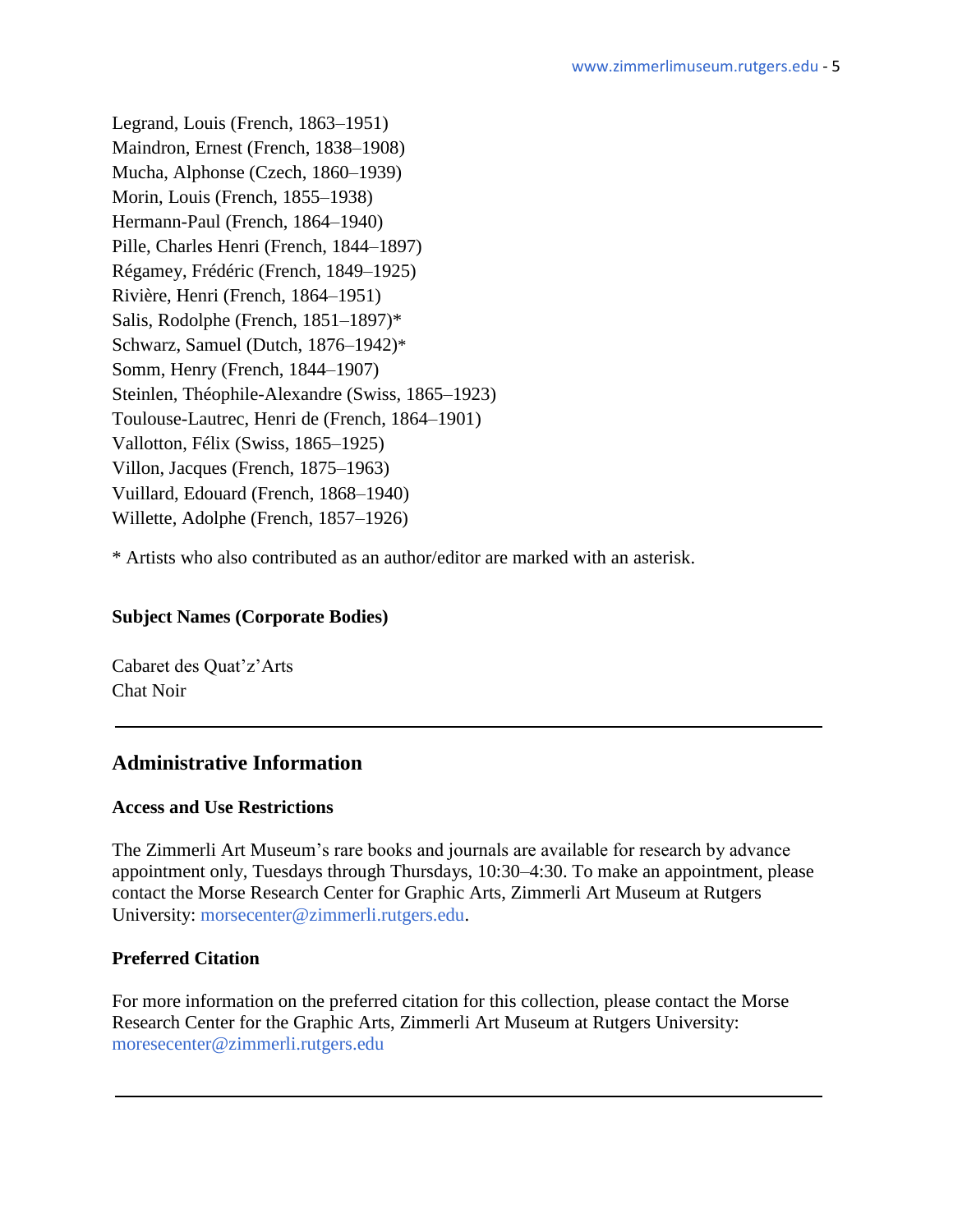Legrand, Louis (French, 1863–1951) Maindron, Ernest (French, 1838–1908) Mucha, Alphonse (Czech, 1860–1939) Morin, Louis (French, 1855–1938) Hermann-Paul (French, 1864–1940) Pille, Charles Henri (French, 1844–1897) Régamey, Frédéric (French, 1849–1925) Rivière, Henri (French, 1864–1951) Salis, Rodolphe (French, 1851–1897)\* Schwarz, Samuel (Dutch, 1876–1942)\* Somm, Henry (French, 1844–1907) Steinlen, Théophile-Alexandre (Swiss, 1865–1923) Toulouse-Lautrec, Henri de (French, 1864–1901) Vallotton, Félix (Swiss, 1865–1925) Villon, Jacques (French, 1875–1963) Vuillard, Edouard (French, 1868–1940) Willette, Adolphe (French, 1857–1926)

\* Artists who also contributed as an author/editor are marked with an asterisk.

### **Subject Names (Corporate Bodies)**

Cabaret des Quat'z'Arts Chat Noir

# **Administrative Information**

### **Access and Use Restrictions**

The Zimmerli Art Museum's rare books and journals are available for research by advance appointment only, Tuesdays through Thursdays, 10:30–4:30. To make an appointment, please contact the Morse Research Center for Graphic Arts, Zimmerli Art Museum at Rutgers University: [morsecenter@zimmerli.rutgers.edu.](mailto:morsecenter@zimmerli.rutgers.edu)

### **Preferred Citation**

For more information on the preferred citation for this collection, please contact the Morse Research Center for the Graphic Arts, Zimmerli Art Museum at Rutgers University: [moresecenter@zimmerli.rutgers.edu](mailto:moresecenter@zimmerli.rutgers.edu)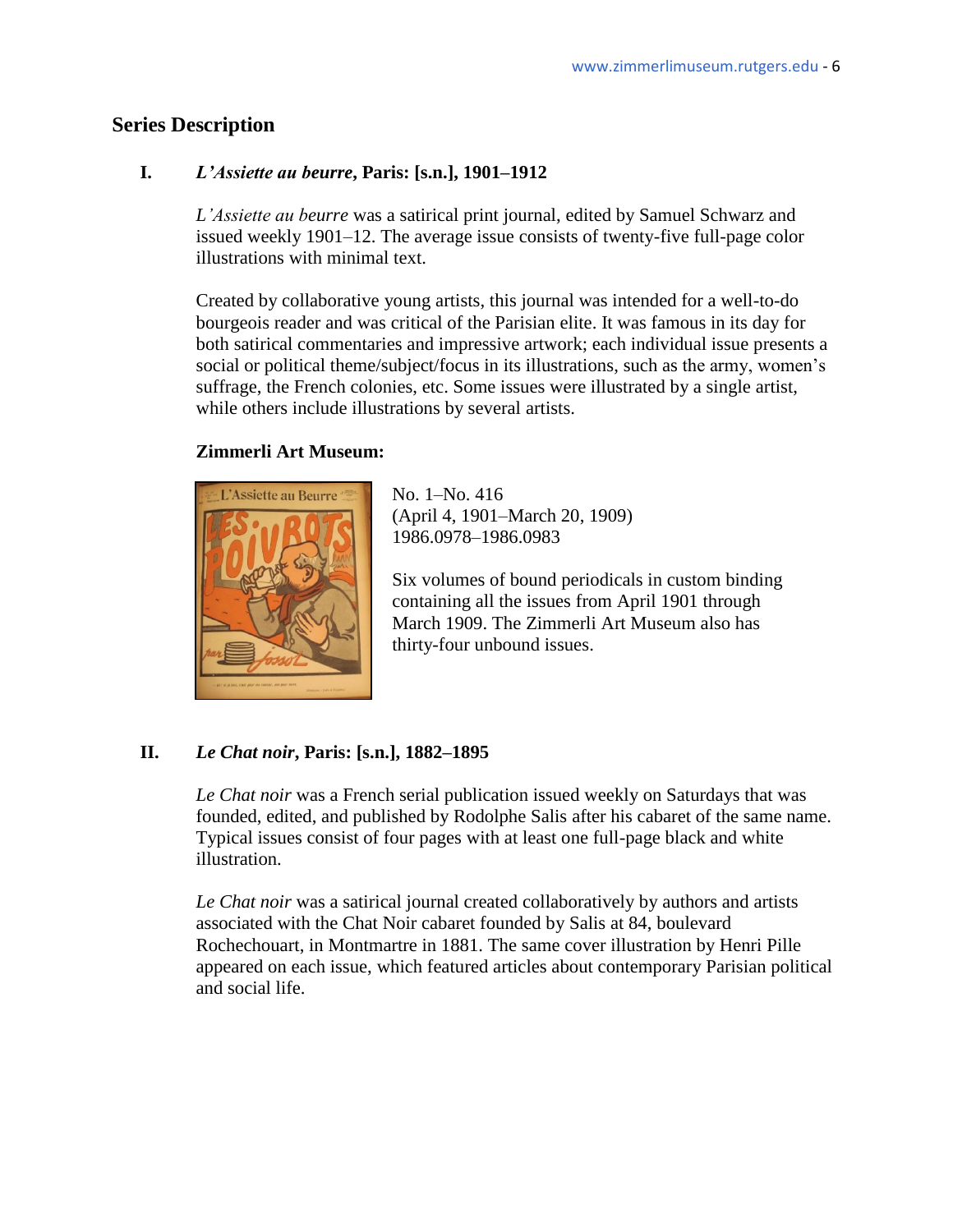# **Series Description**

### **I.** *L'Assiette au beurre***, Paris: [s.n.], 1901–1912**

*L'Assiette au beurre* was a satirical print journal, edited by Samuel Schwarz and issued weekly 1901–12. The average issue consists of twenty-five full-page color illustrations with minimal text.

Created by collaborative young artists, this journal was intended for a well-to-do bourgeois reader and was critical of the Parisian elite. It was famous in its day for both satirical commentaries and impressive artwork; each individual issue presents a social or political theme/subject/focus in its illustrations, such as the army, women's suffrage, the French colonies, etc. Some issues were illustrated by a single artist, while others include illustrations by several artists.

### **Zimmerli Art Museum:**



(April 4, 1901–March 20, 1909) 1986.0978–1986.0983

Six volumes of bound periodicals in custom binding containing all the issues from April 1901 through March 1909. The Zimmerli Art Museum also has thirty-four unbound issues.

### **II.** *Le Chat noir***, Paris: [s.n.], 1882–1895**

*Le Chat noir* was a French serial publication issued weekly on Saturdays that was founded, edited, and published by Rodolphe Salis after his cabaret of the same name. Typical issues consist of four pages with at least one full-page black and white illustration.

*Le Chat noir* was a satirical journal created collaboratively by authors and artists associated with the Chat Noir cabaret founded by Salis at 84, boulevard Rochechouart, in Montmartre in 1881. The same cover illustration by Henri Pille appeared on each issue, which featured articles about contemporary Parisian political and social life.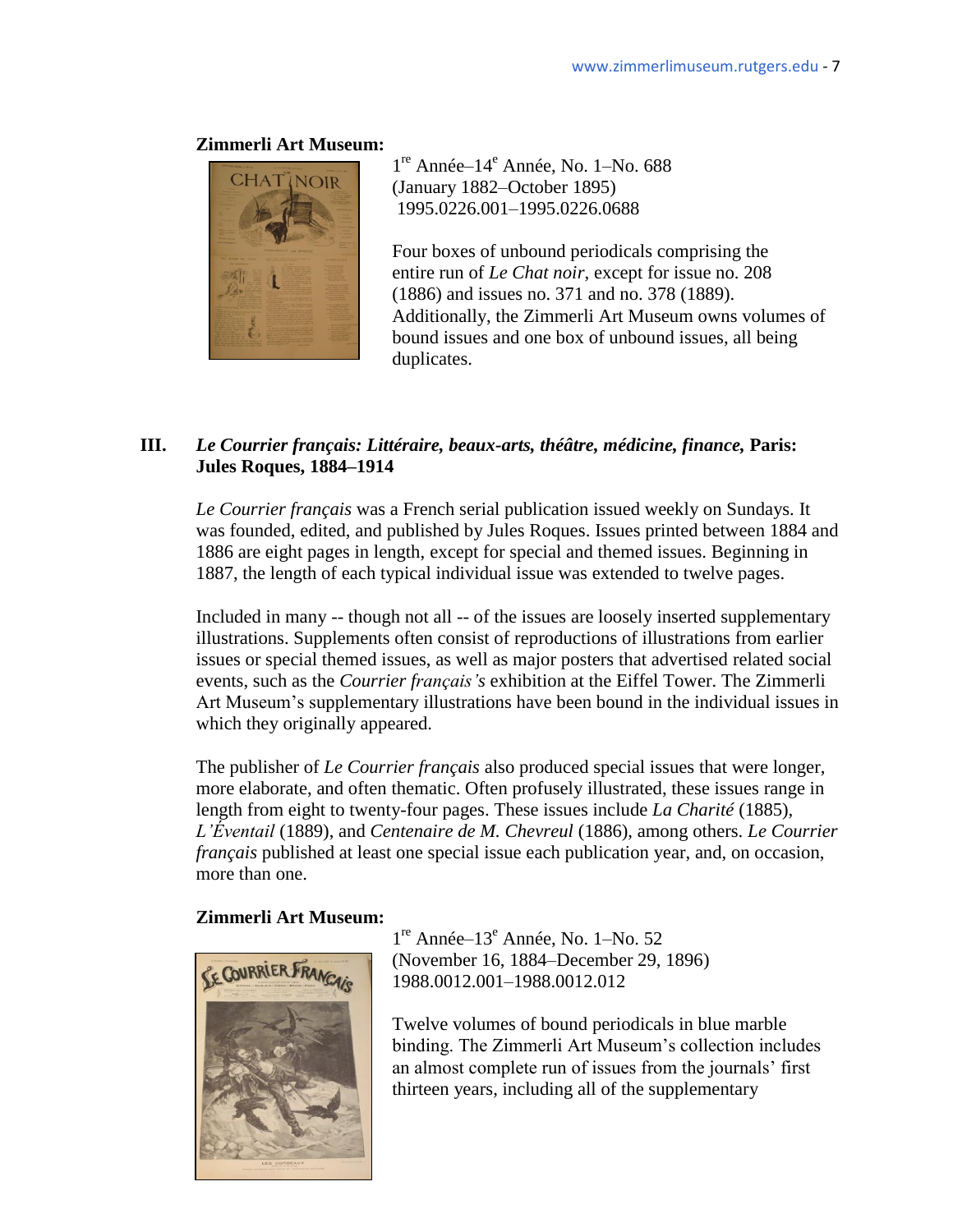

 $1<sup>re</sup>$  Année– $14<sup>e</sup>$  Année, No.  $1-N$ o. 688 (January 1882–October 1895) 1995.0226.001–1995.0226.0688

> Four boxes of unbound periodicals comprising the entire run of *Le Chat noir*, except for issue no. 208 (1886) and issues no. 371 and no. 378 (1889). Additionally, the Zimmerli Art Museum owns volumes of bound issues and one box of unbound issues, all being duplicates.

### **III.** *Le Courrier français: Littéraire, beaux-arts, théâtre, médicine, finance,* **Paris: Jules Roques, 1884–1914**

*Le Courrier français* was a French serial publication issued weekly on Sundays. It was founded, edited, and published by Jules Roques. Issues printed between 1884 and 1886 are eight pages in length, except for special and themed issues. Beginning in 1887, the length of each typical individual issue was extended to twelve pages.

Included in many -- though not all -- of the issues are loosely inserted supplementary illustrations. Supplements often consist of reproductions of illustrations from earlier issues or special themed issues, as well as major posters that advertised related social events, such as the *Courrier français's* exhibition at the Eiffel Tower. The Zimmerli Art Museum's supplementary illustrations have been bound in the individual issues in which they originally appeared.

The publisher of *Le Courrier français* also produced special issues that were longer, more elaborate, and often thematic. Often profusely illustrated, these issues range in length from eight to twenty-four pages. These issues include *La Charité* (1885)*, L'Éventail* (1889), and *Centenaire de M. Chevreul* (1886), among others. *Le Courrier français* published at least one special issue each publication year, and, on occasion, more than one.

### **Zimmerli Art Museum:**



1<sup>re</sup> Année–13<sup>e</sup> Année, No. 1–No. 52 (November 16, 1884–December 29, 1896) 1988.0012.001–1988.0012.012

 Twelve volumes of bound periodicals in blue marble binding. The Zimmerli Art Museum's collection includes an almost complete run of issues from the journals' first thirteen years, including all of the supplementary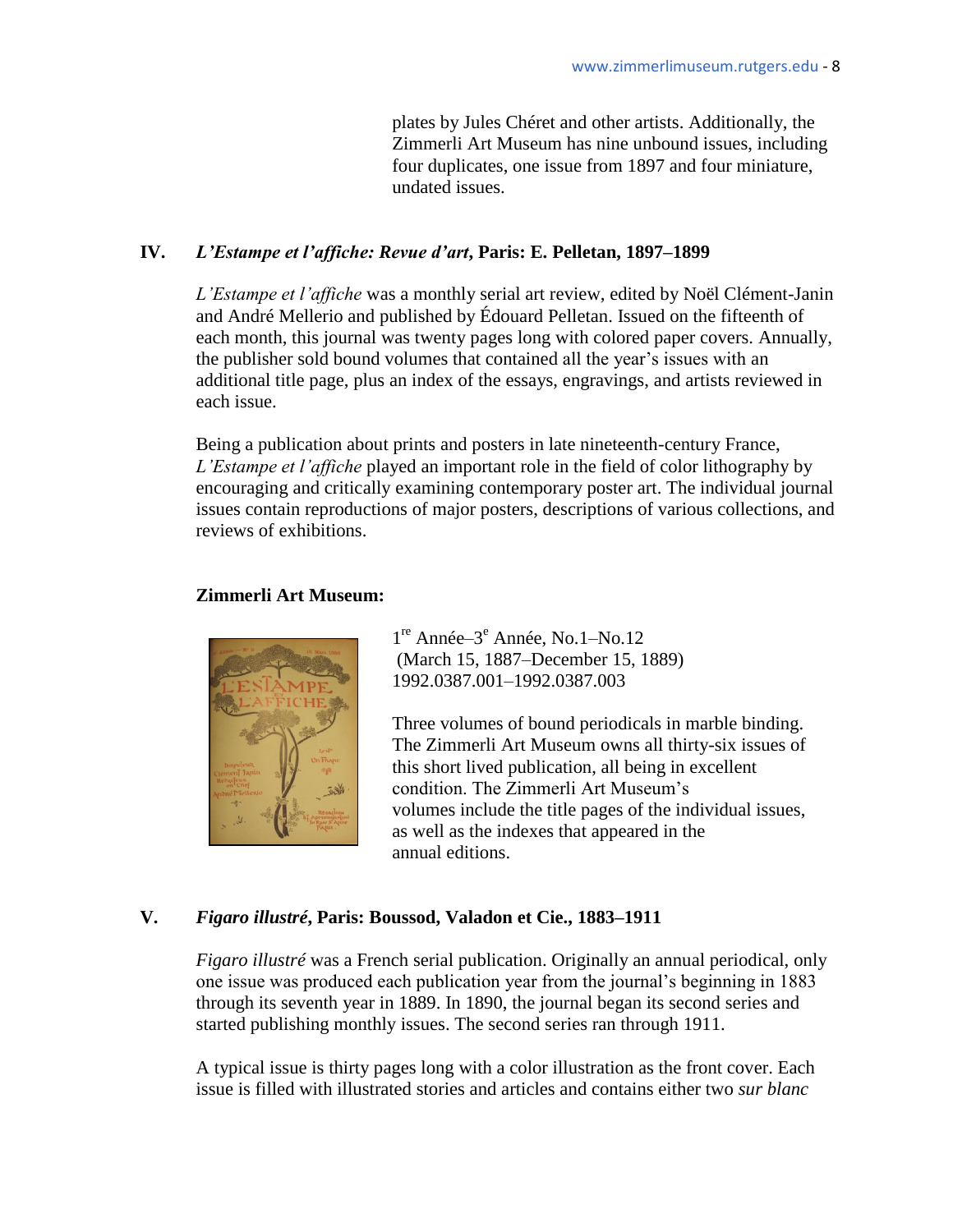plates by Jules Chéret and other artists. Additionally, the Zimmerli Art Museum has nine unbound issues, including four duplicates, one issue from 1897 and four miniature, undated issues.

#### **IV.** *L'Estampe et l'affiche: Revue d'art***, Paris: E. Pelletan, 1897–1899**

*L'Estampe et l'affiche* was a monthly serial art review, edited by Noël Clément-Janin and André Mellerio and published by Édouard Pelletan. Issued on the fifteenth of each month, this journal was twenty pages long with colored paper covers. Annually, the publisher sold bound volumes that contained all the year's issues with an additional title page, plus an index of the essays, engravings, and artists reviewed in each issue.

Being a publication about prints and posters in late nineteenth-century France, *L'Estampe et l'affiche* played an important role in the field of color lithography by encouraging and critically examining contemporary poster art. The individual journal issues contain reproductions of major posters, descriptions of various collections, and reviews of exhibitions.

#### **Zimmerli Art Museum:**



1<sup>re</sup> Année-3<sup>e</sup> Année, No.1-No.12 (March 15, 1887–December 15, 1889) 1992.0387.001–1992.0387.003

 Three volumes of bound periodicals in marble binding. The Zimmerli Art Museum owns all thirty-six issues of this short lived publication, all being in excellent condition. The Zimmerli Art Museum's volumes include the title pages of the individual issues, as well as the indexes that appeared in the annual editions.

### **V.** *Figaro illustré***, Paris: Boussod, Valadon et Cie., 1883–1911**

*Figaro illustré* was a French serial publication. Originally an annual periodical, only one issue was produced each publication year from the journal's beginning in 1883 through its seventh year in 1889. In 1890, the journal began its second series and started publishing monthly issues. The second series ran through 1911.

A typical issue is thirty pages long with a color illustration as the front cover. Each issue is filled with illustrated stories and articles and contains either two *sur blanc*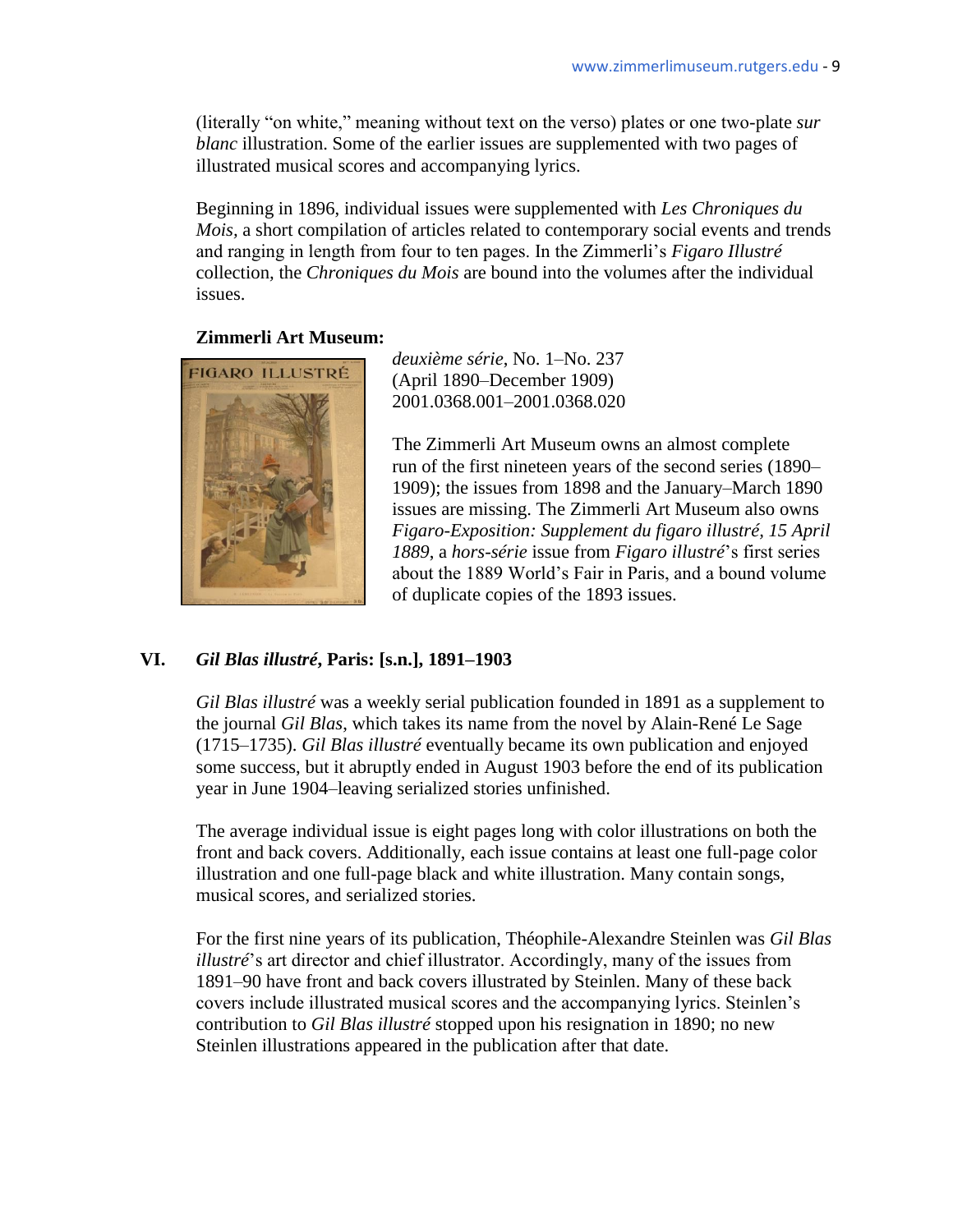literally "on white," meaning without text on the verso) plates or one two-plate *sur blanc* illustration. Some of the earlier issues are supplemented with two pages of illustrated musical scores and accompanying lyrics.

Beginning in 1896, individual issues were supplemented with *Les Chroniques du Mois,* a short compilation of articles related to contemporary social events and trends and ranging in length from four to ten pages. In the Zimmerli's *Figaro Illustré*  collection*,* the *Chroniques du Mois* are bound into the volumes after the individual issues.

#### **Zimmerli Art Museum:**



*deuxième série*, No. 1–No. 237 (April 1890–December 1909) 2001.0368.001–2001.0368.020

> The Zimmerli Art Museum owns an almost complete run of the first nineteen years of the second series (1890– 1909); the issues from 1898 and the January–March 1890 issues are missing. The Zimmerli Art Museum also owns *Figaro-Exposition: Supplement du figaro illustré, 15 April 1889*, a *hors-série* issue from *Figaro illustré*'s first series about the 1889 World's Fair in Paris, and a bound volume of duplicate copies of the 1893 issues.

### **VI.** *Gil Blas illustré***, Paris: [s.n.], 1891–1903**

*Gil Blas illustré* was a weekly serial publication founded in 1891 as a supplement to the journal *Gil Blas*, which takes its name from the novel by Alain-René Le Sage (1715–1735). *Gil Blas illustré* eventually became its own publication and enjoyed some success, but it abruptly ended in August 1903 before the end of its publication year in June 1904–leaving serialized stories unfinished.

The average individual issue is eight pages long with color illustrations on both the front and back covers. Additionally, each issue contains at least one full-page color illustration and one full-page black and white illustration. Many contain songs, musical scores, and serialized stories.

For the first nine years of its publication, Théophile-Alexandre Steinlen was *Gil Blas illustré*'s art director and chief illustrator. Accordingly, many of the issues from 1891–90 have front and back covers illustrated by Steinlen. Many of these back covers include illustrated musical scores and the accompanying lyrics. Steinlen's contribution to *Gil Blas illustré* stopped upon his resignation in 1890; no new Steinlen illustrations appeared in the publication after that date.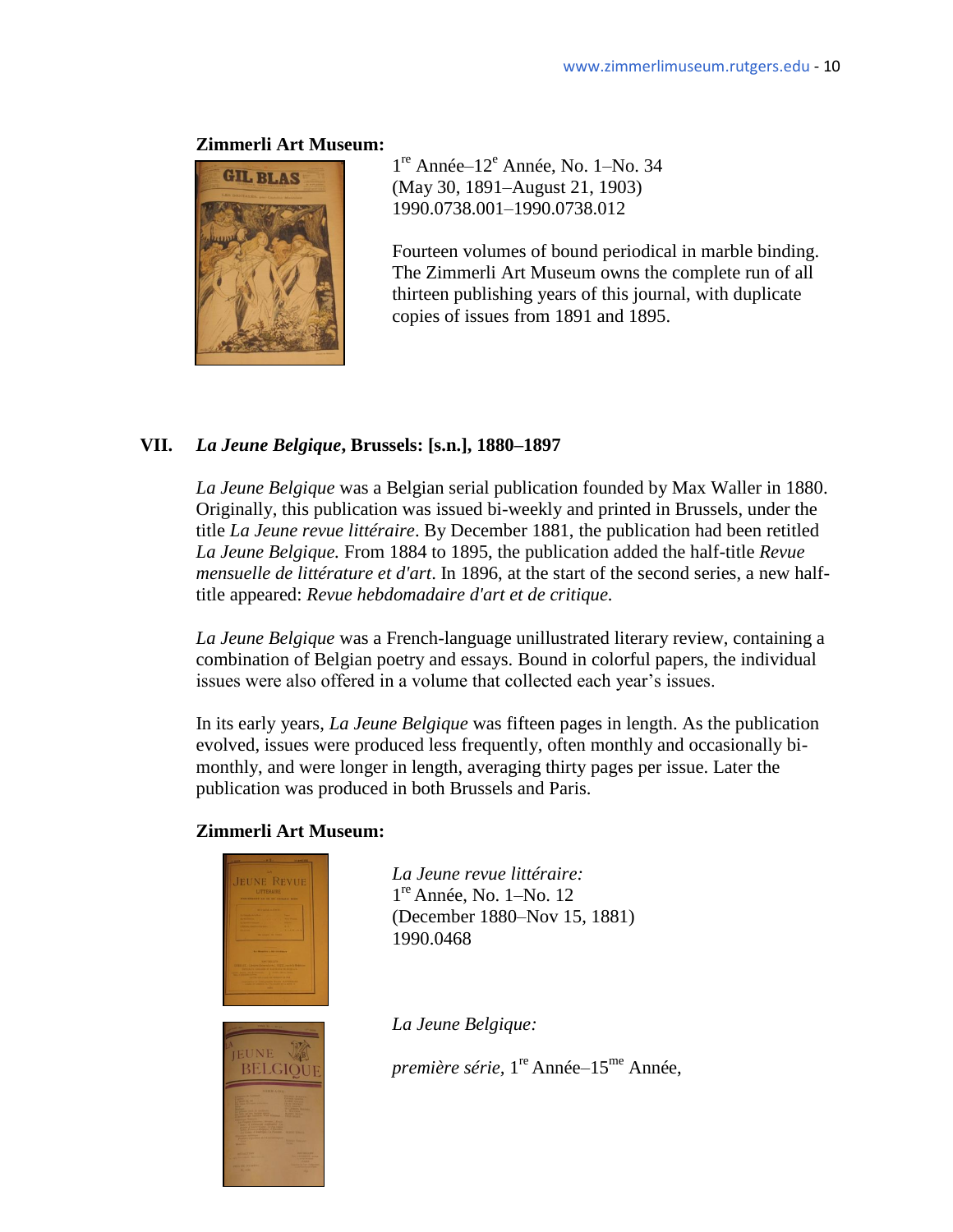

1<sup>re</sup> Année-12<sup>e</sup> Année, No. 1-No. 34 (May 30, 1891–August 21, 1903) 1990.0738.001–1990.0738.012

Fourteen volumes of bound periodical in marble binding. The Zimmerli Art Museum owns the complete run of all thirteen publishing years of this journal, with duplicate copies of issues from 1891 and 1895.

### **VII.** *La Jeune Belgique***, Brussels: [s.n.], 1880–1897**

*La Jeune Belgique* was a Belgian serial publication founded by Max Waller in 1880. Originally, this publication was issued bi-weekly and printed in Brussels, under the title *La Jeune revue littéraire*. By December 1881, the publication had been retitled *La Jeune Belgique.* From 1884 to 1895, the publication added the half-title *Revue mensuelle de littérature et d'art*. In 1896, at the start of the second series, a new halftitle appeared: *Revue hebdomadaire d'art et de critique.*

*La Jeune Belgique* was a French-language unillustrated literary review, containing a combination of Belgian poetry and essays. Bound in colorful papers, the individual issues were also offered in a volume that collected each year's issues.

In its early years, *La Jeune Belgique* was fifteen pages in length. As the publication evolved, issues were produced less frequently, often monthly and occasionally bimonthly, and were longer in length, averaging thirty pages per issue. Later the publication was produced in both Brussels and Paris.

### **Zimmerli Art Museum:**



BELGIOU

*La Jeune revue littéraire:*  1 re Année, No. 1–No. 12 (December 1880–Nov 15, 1881) 1990.0468

*La Jeune Belgique:*

première série, 1<sup>re</sup> Année–15<sup>me</sup> Année,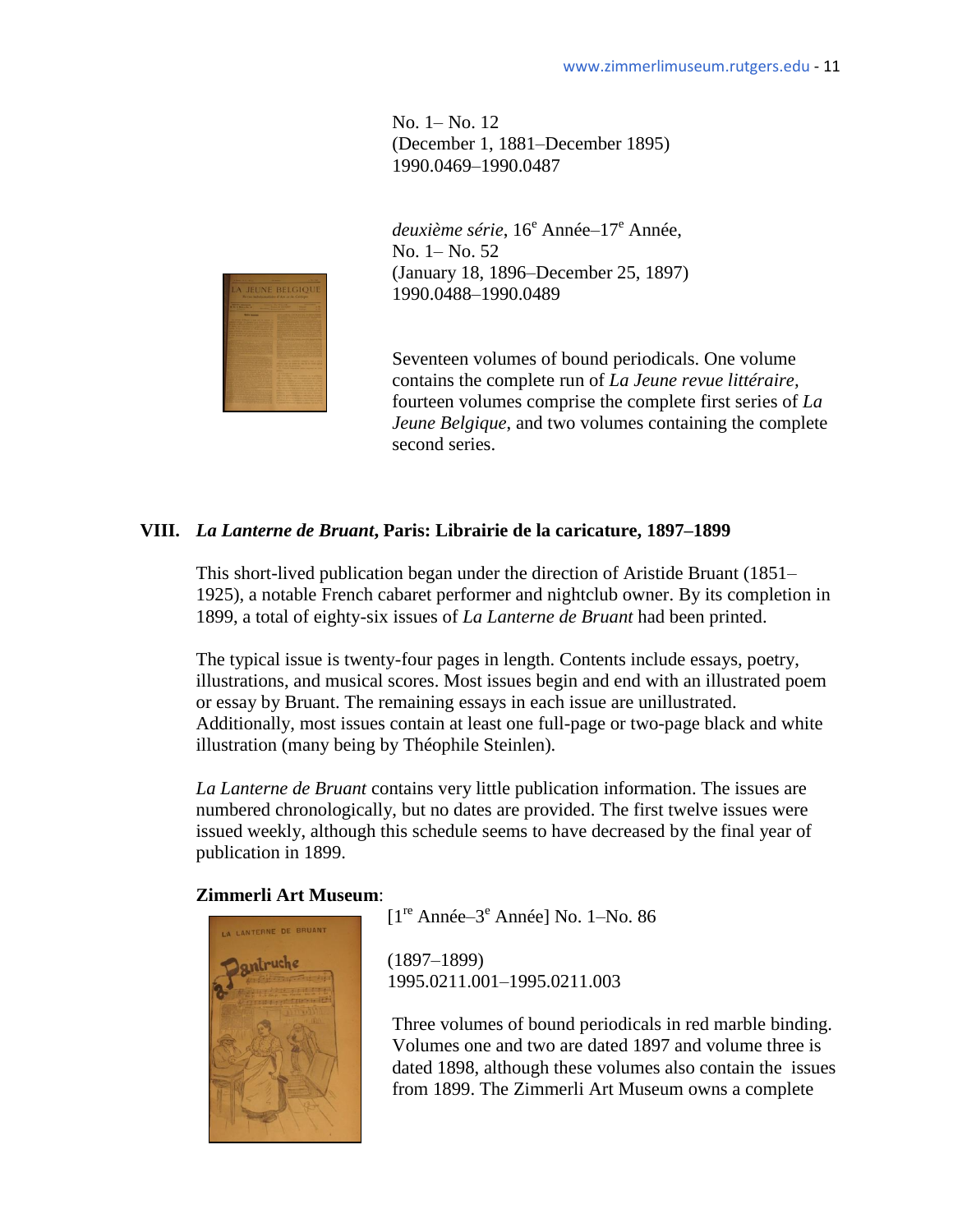No. 1– No. 12 (December 1, 1881–December 1895) 1990.0469–1990.0487

deuxième série, 16<sup>e</sup> Année–17<sup>e</sup> Année, No. 1– No. 52 (January 18, 1896–December 25, 1897) 1990.0488–1990.0489

Seventeen volumes of bound periodicals. One volume contains the complete run of *La Jeune revue littéraire,*  fourteen volumes comprise the complete first series of *La Jeune Belgique*, and two volumes containing the complete second series.

### **VIII.** *La Lanterne de Bruant***, Paris: Librairie de la caricature, 1897–1899**

This short-lived publication began under the direction of Aristide Bruant (1851– 1925), a notable French cabaret performer and nightclub owner. By its completion in 1899, a total of eighty-six issues of *La Lanterne de Bruant* had been printed.

The typical issue is twenty-four pages in length. Contents include essays, poetry, illustrations, and musical scores. Most issues begin and end with an illustrated poem or essay by Bruant. The remaining essays in each issue are unillustrated. Additionally, most issues contain at least one full-page or two-page black and white illustration (many being by Théophile Steinlen).

*La Lanterne de Bruant* contains very little publication information. The issues are numbered chronologically, but no dates are provided. The first twelve issues were issued weekly, although this schedule seems to have decreased by the final year of publication in 1899.

### **Zimmerli Art Museum**:



*I*<sup>re</sup> Année–3<sup>e</sup> Année] No. 1–No. 86

1995.0211.001–1995.0211.003

Three volumes of bound periodicals in red marble binding. Volumes one and two are dated 1897 and volume three is dated 1898, although these volumes also contain the issues from 1899. The Zimmerli Art Museum owns a complete

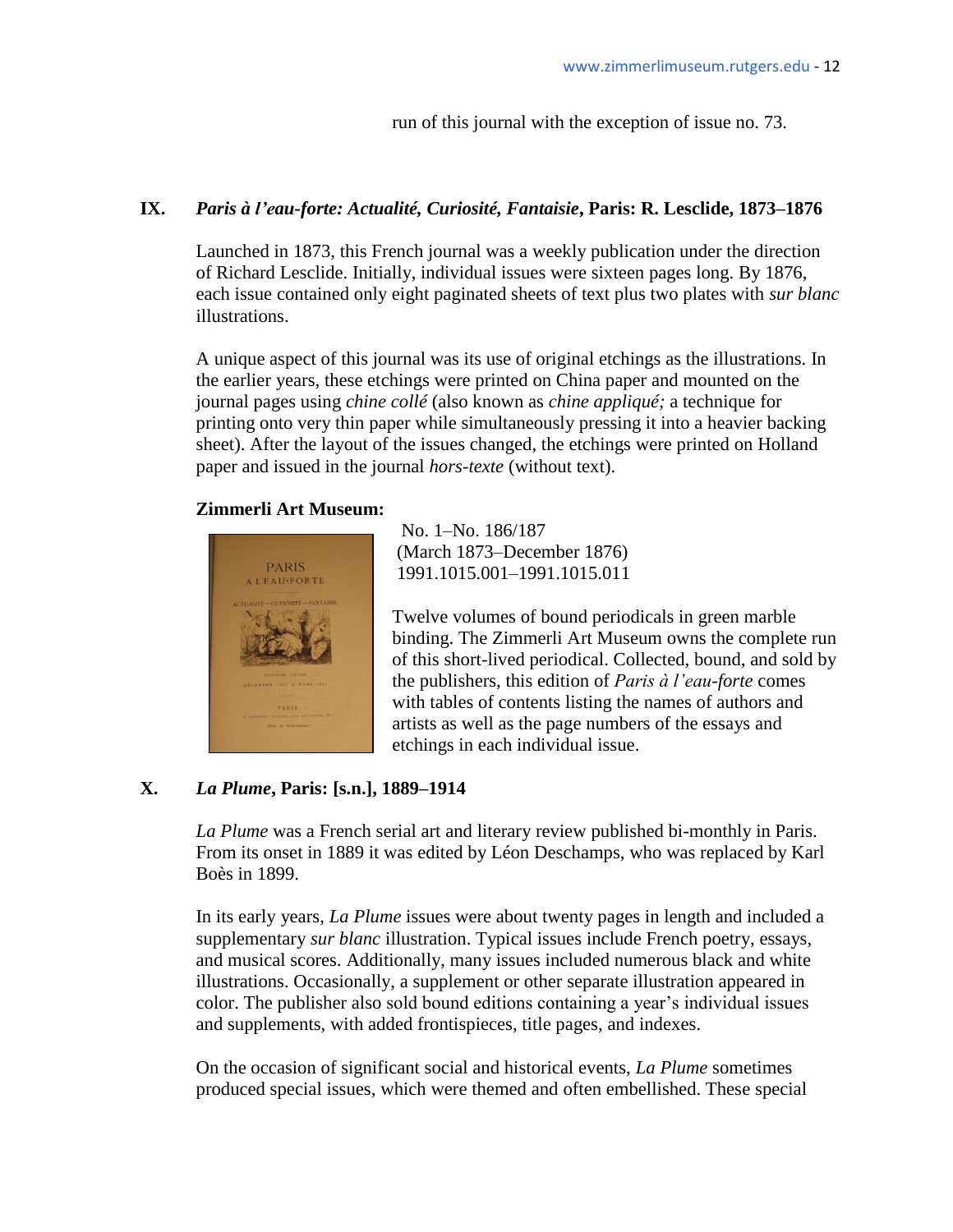run of this journal with the exception of issue no. 73.

### **IX.** *Paris à l'eau-forte: Actualité, Curiosité, Fantaisie***, Paris: R. Lesclide, 1873–1876**

Launched in 1873, this French journal was a weekly publication under the direction of Richard Lesclide. Initially, individual issues were sixteen pages long. By 1876, each issue contained only eight paginated sheets of text plus two plates with *sur blanc*  illustrations.

A unique aspect of this journal was its use of original etchings as the illustrations. In the earlier years, these etchings were printed on China paper and mounted on the journal pages using *chine collé* (also known as *chine appliqué;* a technique for printing onto very thin paper while simultaneously pressing it into a heavier backing sheet). After the layout of the issues changed, the etchings were printed on Holland paper and issued in the journal *hors-texte* (without text).

### **Zimmerli Art Museum:**



No. 1–No. 186/187 **March 1873–December 1876)**<br>1901-1915-001-1901-1915-011 PARIS 1991.1015.001–1991.1015.011

> Twelve volumes of bound periodicals in green marble binding. The Zimmerli Art Museum owns the complete run of this short-lived periodical. Collected, bound, and sold by the publishers, this edition of *Paris à l'eau-forte* comes with tables of contents listing the names of authors and artists as well as the page numbers of the essays and etchings in each individual issue.

### **X.** *La Plume***, Paris: [s.n.], 1889–1914**

*La Plume* was a French serial art and literary review published bi-monthly in Paris. From its onset in 1889 it was edited by Léon Deschamps, who was replaced by Karl Boès in 1899.

In its early years, *La Plume* issues were about twenty pages in length and included a supplementary *sur blanc* illustration. Typical issues include French poetry, essays, and musical scores. Additionally, many issues included numerous black and white illustrations. Occasionally, a supplement or other separate illustration appeared in color. The publisher also sold bound editions containing a year's individual issues and supplements, with added frontispieces, title pages, and indexes.

On the occasion of significant social and historical events, *La Plume* sometimes produced special issues, which were themed and often embellished. These special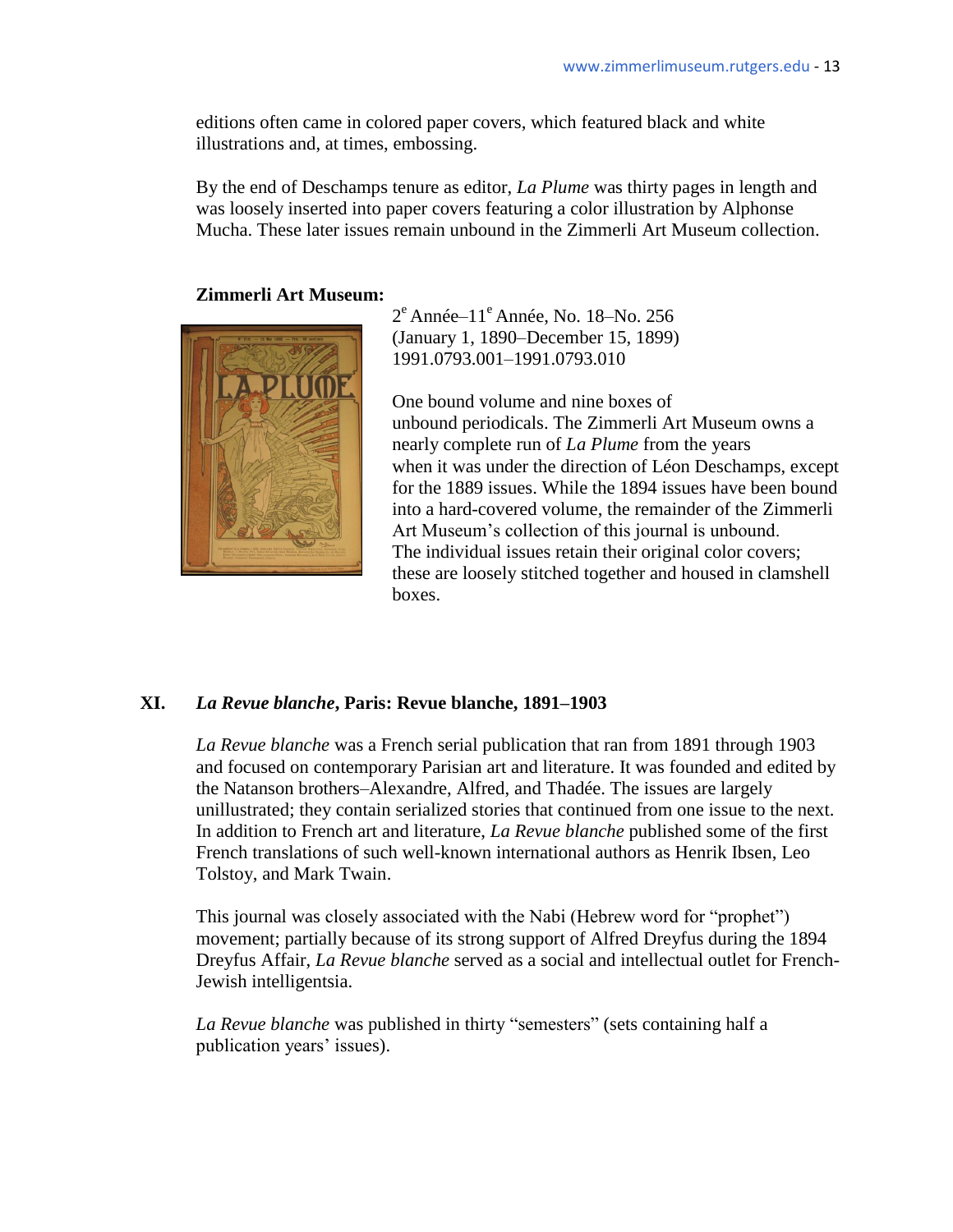editions often came in colored paper covers, which featured black and white illustrations and, at times, embossing.

By the end of Deschamps tenure as editor, *La Plume* was thirty pages in length and was loosely inserted into paper covers featuring a color illustration by Alphonse Mucha. These later issues remain unbound in the Zimmerli Art Museum collection.

#### **Zimmerli Art Museum:**



 $2^e$  Année– $11^e$  Année, No. 18–No. 256 (January 1, 1890–December 15, 1899) 1991.0793.001–1991.0793.010

One bound volume and nine boxes of unbound periodicals. The Zimmerli Art Museum owns a nearly complete run of *La Plume* from the years when it was under the direction of Léon Deschamps, except for the 1889 issues. While the 1894 issues have been bound into a hard-covered volume, the remainder of the Zimmerli Art Museum's collection of this journal is unbound. The individual issues retain their original color covers; these are loosely stitched together and housed in clamshell boxes.

#### **XI.** *La Revue blanche***, Paris: Revue blanche, 1891–1903**

*La Revue blanche* was a French serial publication that ran from 1891 through 1903 and focused on contemporary Parisian art and literature. It was founded and edited by the Natanson brothers–Alexandre, Alfred, and Thadée. The issues are largely unillustrated; they contain serialized stories that continued from one issue to the next. In addition to French art and literature, *La Revue blanche* published some of the first French translations of such well-known international authors as Henrik Ibsen, Leo Tolstoy, and Mark Twain.

This journal was closely associated with the Nabi (Hebrew word for "prophet") movement; partially because of its strong support of Alfred Dreyfus during the 1894 Dreyfus Affair, *La Revue blanche* served as a social and intellectual outlet for French-Jewish intelligentsia.

*La Revue blanche* was published in thirty "semesters" (sets containing half a publication years' issues).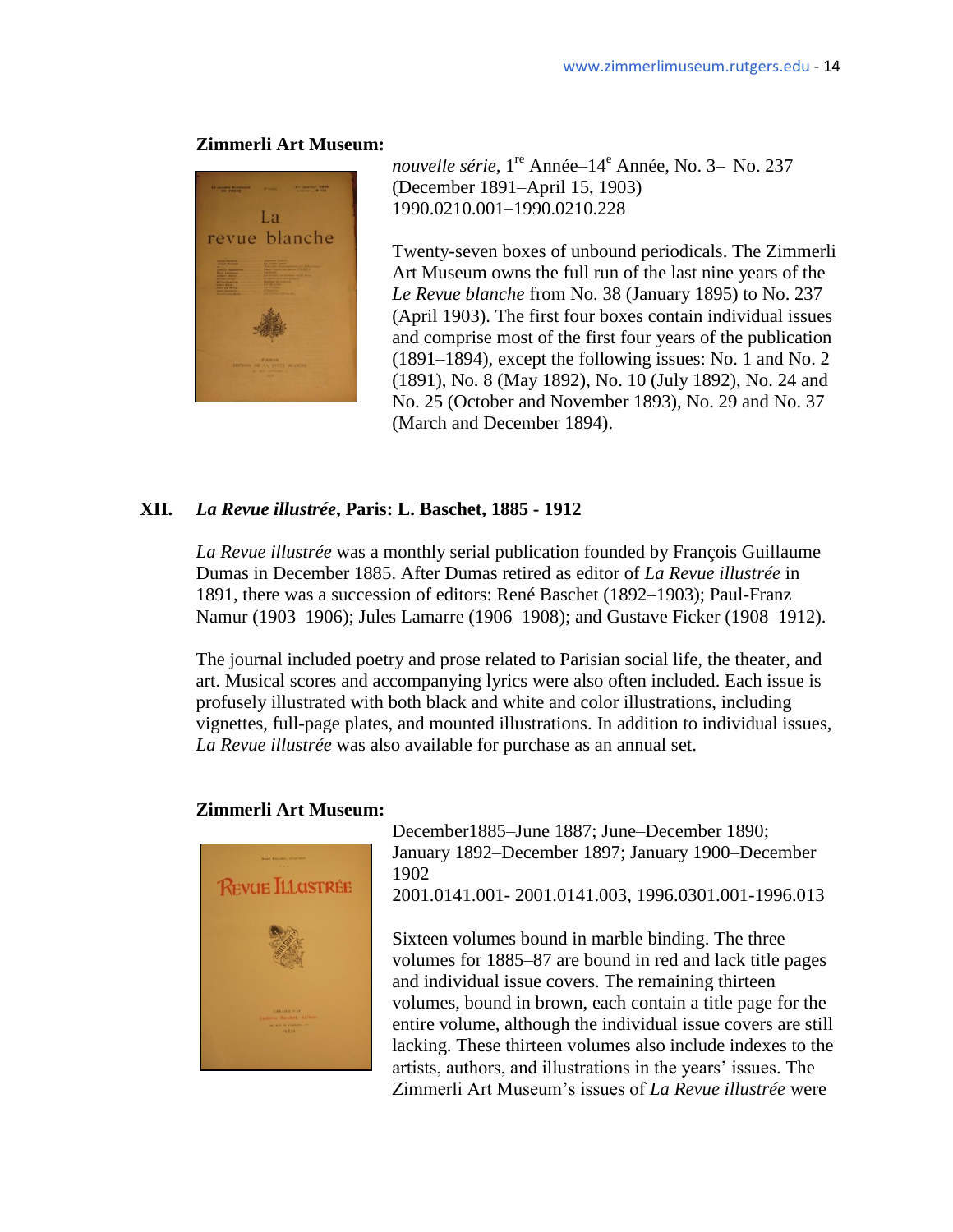

nouvelle série, 1<sup>re</sup> Année–14<sup>e</sup> Année, No. 3– No. 237 (December 1891–April 15, 1903) 1990.0210.001–1990.0210.228

Twenty-seven boxes of unbound periodicals. The Zimmerli Art Museum owns the full run of the last nine years of the *Le Revue blanche* from No. 38 (January 1895) to No. 237 (April 1903). The first four boxes contain individual issues and comprise most of the first four years of the publication (1891–1894), except the following issues: No. 1 and No. 2 (1891), No. 8 (May 1892), No. 10 (July 1892), No. 24 and No. 25 (October and November 1893), No. 29 and No. 37 (March and December 1894).

# **XII.** *La Revue illustrée***, Paris: L. Baschet, 1885 - 1912**

*La Revue illustrée* was a monthly serial publication founded by François Guillaume Dumas in December 1885. After Dumas retired as editor of *La Revue illustrée* in 1891, there was a succession of editors: René Baschet (1892–1903); Paul-Franz Namur (1903–1906); Jules Lamarre (1906–1908); and Gustave Ficker (1908–1912).

The journal included poetry and prose related to Parisian social life, the theater, and art. Musical scores and accompanying lyrics were also often included. Each issue is profusely illustrated with both black and white and color illustrations, including vignettes, full-page plates, and mounted illustrations. In addition to individual issues, *La Revue illustrée* was also available for purchase as an annual set.

### **Zimmerli Art Museum:**



December1885–June 1887; June–December 1890; January 1892–December 1897; January 1900–December

2001.0141.001- 2001.0141.003, 1996.0301.001-1996.013

Sixteen volumes bound in marble binding. The three volumes for 1885–87 are bound in red and lack title pages and individual issue covers. The remaining thirteen volumes, bound in brown, each contain a title page for the entire volume, although the individual issue covers are still lacking. These thirteen volumes also include indexes to the artists, authors, and illustrations in the years' issues. The Zimmerli Art Museum's issues of *La Revue illustrée* were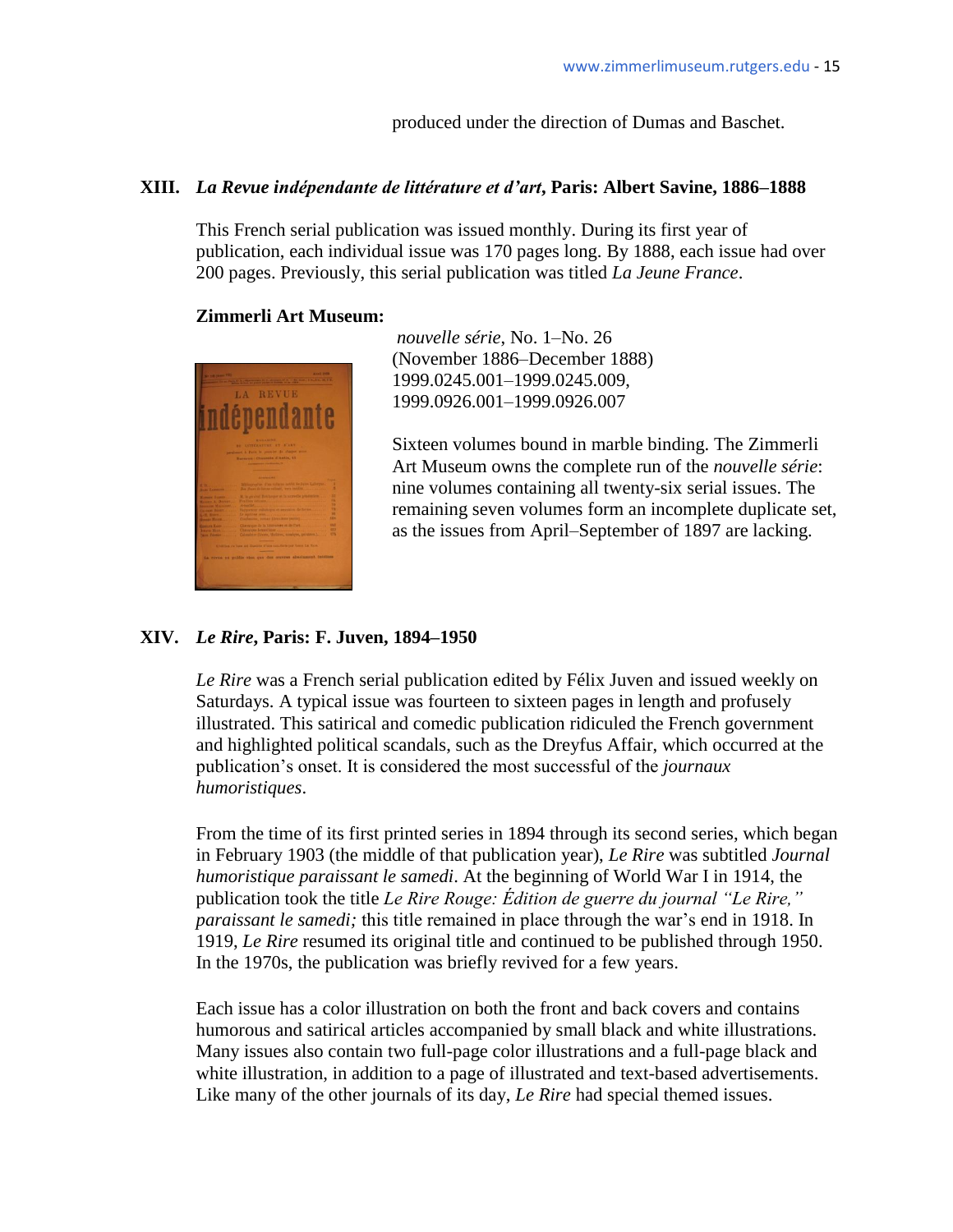produced under the direction of Dumas and Baschet.

#### **XIII.** *La Revue indépendante de littérature et d'art***, Paris: Albert Savine, 1886–1888**

This French serial publication was issued monthly. During its first year of publication, each individual issue was 170 pages long. By 1888, each issue had over 200 pages. Previously, this serial publication was titled *La Jeune France*.

#### **Zimmerli Art Museum:**



*nouvelle série*, No. 1–No. 26 (November 1886–December 1888) 1999.0245.001–1999.0245.009, 1999.0926.001–1999.0926.007

Sixteen volumes bound in marble binding. The Zimmerli Art Museum owns the complete run of the *nouvelle série*: nine volumes containing all twenty-six serial issues. The remaining seven volumes form an incomplete duplicate set, as the issues from April–September of 1897 are lacking.

### **XIV.** *Le Rire***, Paris: F. Juven, 1894–1950**

*Le Rire* was a French serial publication edited by Félix Juven and issued weekly on Saturdays. A typical issue was fourteen to sixteen pages in length and profusely illustrated. This satirical and comedic publication ridiculed the French government and highlighted political scandals, such as the Dreyfus Affair, which occurred at the publication's onset. It is considered the most successful of the *journaux humoristiques*.

From the time of its first printed series in 1894 through its second series, which began in February 1903 (the middle of that publication year), *Le Rire* was subtitled *Journal humoristique paraissant le samedi*. At the beginning of World War I in 1914, the publication took the title *Le Rire Rouge: Édition de guerre du journal "Le Rire," paraissant le samedi;* this title remained in place through the war's end in 1918. In 1919, *Le Rire* resumed its original title and continued to be published through 1950. In the 1970s, the publication was briefly revived for a few years.

Each issue has a color illustration on both the front and back covers and contains humorous and satirical articles accompanied by small black and white illustrations. Many issues also contain two full-page color illustrations and a full-page black and white illustration, in addition to a page of illustrated and text-based advertisements. Like many of the other journals of its day, *Le Rire* had special themed issues.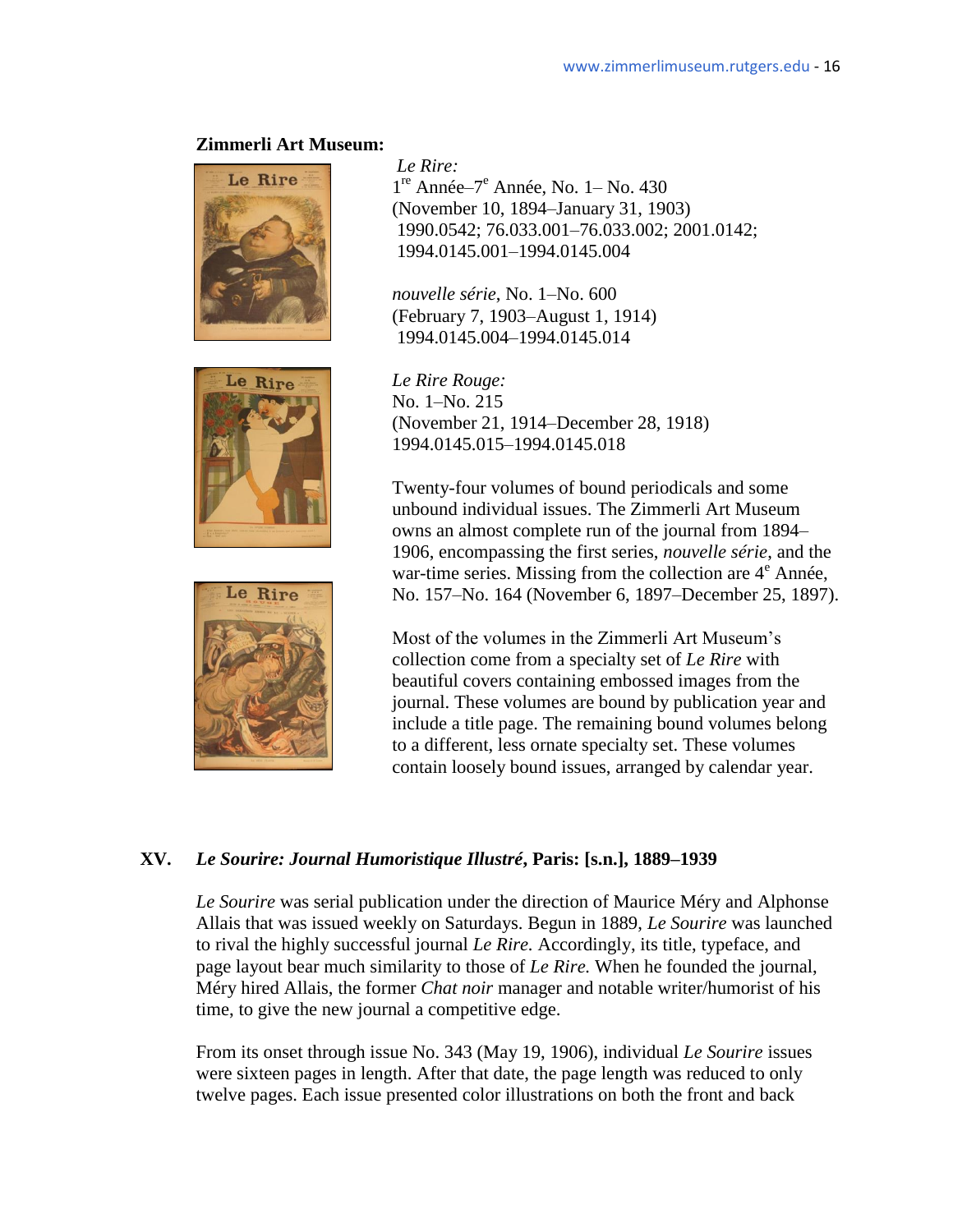





*Le Rire:*  <sup>re</sup> Année–7<sup>e</sup> Année, No. 1– No. 430 (November 10, 1894–January 31, 1903) 1990.0542; 76.033.001–76.033.002; 2001.0142; 1994.0145.001–1994.0145.004

 *nouvelle série*, No. 1–No. 600 (February 7, 1903–August 1, 1914) 1994.0145.004–1994.0145.014

 No. 1–No. 215 (November 21, 1914–December 28, 1918) 1994.0145.015–1994.0145.018

Twenty-four volumes of bound periodicals and some unbound individual issues. The Zimmerli Art Museum owns an almost complete run of the journal from 1894– 1906, encompassing the first series, *nouvelle série*, and the war-time series. Missing from the collection are  $4^e$  Année, No. 157–No. 164 (November 6, 1897–December 25, 1897).

Most of the volumes in the Zimmerli Art Museum's collection come from a specialty set of *Le Rire* with beautiful covers containing embossed images from the journal. These volumes are bound by publication year and include a title page. The remaining bound volumes belong to a different, less ornate specialty set. These volumes contain loosely bound issues, arranged by calendar year.

### **XV.** *Le Sourire: Journal Humoristique Illustré***, Paris: [s.n.], 1889–1939**

*Le Sourire* was serial publication under the direction of Maurice Méry and Alphonse Allais that was issued weekly on Saturdays. Begun in 1889, *Le Sourire* was launched to rival the highly successful journal *Le Rire.* Accordingly, its title, typeface, and page layout bear much similarity to those of *Le Rire.* When he founded the journal, Méry hired Allais, the former *Chat noir* manager and notable writer/humorist of his time, to give the new journal a competitive edge.

From its onset through issue No. 343 (May 19, 1906), individual *Le Sourire* issues were sixteen pages in length. After that date, the page length was reduced to only twelve pages. Each issue presented color illustrations on both the front and back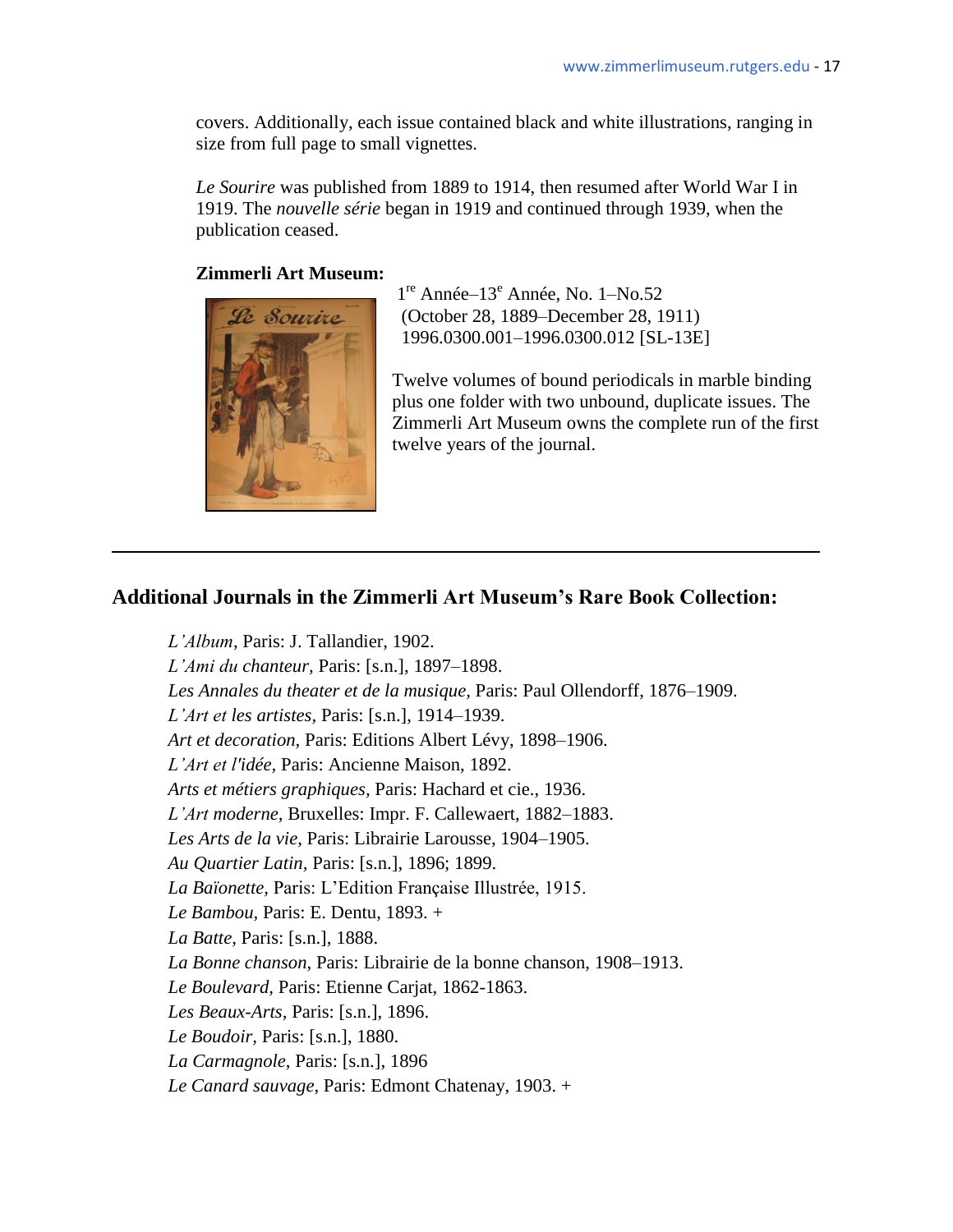covers. Additionally, each issue contained black and white illustrations, ranging in size from full page to small vignettes.

*Le Sourire* was published from 1889 to 1914, then resumed after World War I in 1919. The *nouvelle série* began in 1919 and continued through 1939, when the publication ceased.

### **Zimmerli Art Museum:**



1<sup>re</sup> Année-13<sup>e</sup> Année, No. 1-No.52 Le Sourire (October 28, 1889–December 28, 1911) 1996.0300.001–1996.0300.012 [SL-13E]

> Twelve volumes of bound periodicals in marble binding plus one folder with two unbound, duplicate issues. The Zimmerli Art Museum owns the complete run of the first twelve years of the journal.

# **Additional Journals in the Zimmerli Art Museum's Rare Book Collection:**

*L'Album*, Paris: J. Tallandier, 1902. *L'Ami du chanteur,* Paris: [s.n.], 1897–1898.  *Les Annales du theater et de la musique,* Paris: Paul Ollendorff, 1876–1909. *L'Art et les artistes,* Paris: [s.n.], 1914–1939. *Art et decoration,* Paris: Editions Albert Lévy, 1898–1906. *L'Art et l'idée,* Paris: Ancienne Maison, 1892. *Arts et métiers graphiques,* Paris: Hachard et cie., 1936. *L'Art moderne,* Bruxelles: Impr. F. Callewaert, 1882–1883. *Les Arts de la vie*, Paris: Librairie Larousse, 1904–1905. *Au Quartier Latin,* Paris: [s.n.], 1896; 1899. *La Baïonette, Paris: L'Edition Française Illustrée, 1915. Le Bambou,* Paris: E. Dentu, 1893. + *La Batte,* Paris: [s.n.], 1888. *La Bonne chanson*, Paris: Librairie de la bonne chanson, 1908–1913. *Le Boulevard,* Paris: Etienne Carjat, 1862-1863. *Les Beaux-Arts,* Paris: [s.n.], 1896. *Le Boudoir,* Paris: [s.n.], 1880. *La Carmagnole*, Paris: [s.n.], 1896 *Le Canard sauvage*, Paris: Edmont Chatenay, 1903. +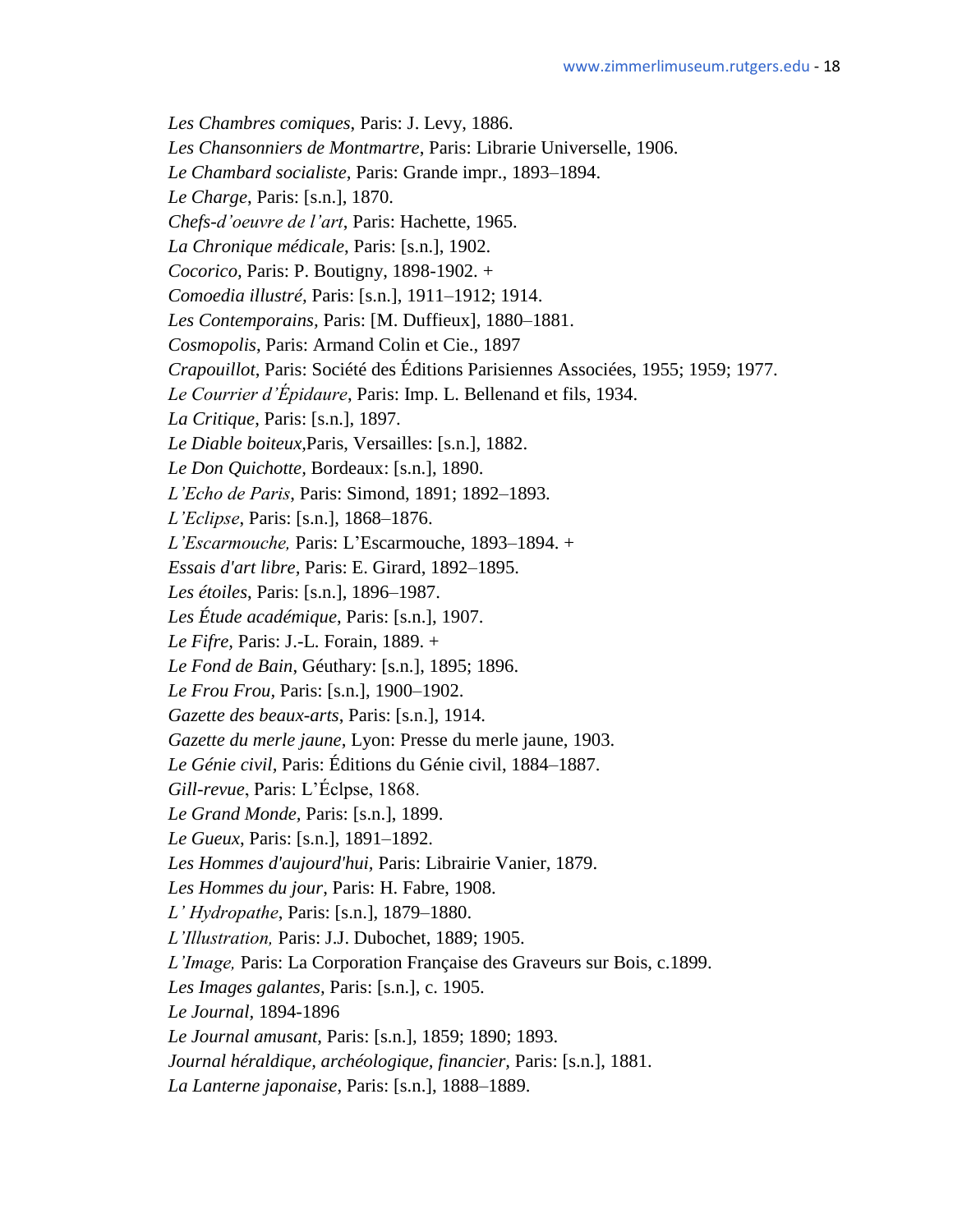*Les Chambres comiques*, Paris: J. Levy, 1886.

*Les Chansonniers de Montmartre*, Paris: Librarie Universelle, 1906.

*Le Chambard socialiste,* Paris: Grande impr., 1893–1894.

*Le Charge*, Paris: [s.n.], 1870.

- *Chefs-d'oeuvre de l'art*, Paris: Hachette, 1965.
- *La Chronique médicale*, Paris: [s.n.], 1902.
- *Cocorico,* Paris: P. Boutigny, 1898-1902. +
- *Comoedia illustré,* Paris: [s.n.], 1911–1912; 1914.
- *Les Contemporains,* Paris: [M. Duffieux], 1880–1881.
- *Cosmopolis*, Paris: Armand Colin et Cie., 1897
- *Crapouillot*, Paris: Société des Éditions Parisiennes Associées, 1955; 1959; 1977.
- *Le Courrier d'Épidaure*, Paris: Imp. L. Bellenand et fils, 1934.

*La Critique*, Paris: [s.n.], 1897.

- *Le Diable boiteux,*Paris, Versailles: [s.n.], 1882.
- *Le Don Quichotte,* Bordeaux: [s.n.], 1890.
- *L'Echo de Paris*, Paris: Simond, 1891; 1892–1893.
- *L'Eclipse*, Paris: [s.n.], 1868–1876.
- *L'Escarmouche,* Paris: L'Escarmouche, 1893–1894. +
- *Essais d'art libre,* Paris: E. Girard, 1892–1895.
- *Les étoiles*, Paris: [s.n.], 1896–1987.
- *Les Étude académique*, Paris: [s.n.], 1907.
- *Le Fifre,* Paris: J.-L. Forain, 1889. +
- *Le Fond de Bain*, Géuthary: [s.n.], 1895; 1896.
- *Le Frou Frou,* Paris: [s.n.], 1900–1902.
- *Gazette des beaux-arts*, Paris: [s.n.], 1914.
- *Gazette du merle jaune*, Lyon: Presse du merle jaune, 1903.
- *Le Génie civil,* Paris: Éditions du Génie civil, 1884–1887.

*Gill-revue*, Paris: L'Éclpse, 1868.

- *Le Grand Monde,* Paris: [s.n.], 1899.
- *Le Gueux*, Paris: [s.n.], 1891–1892.
- *Les Hommes d'aujourd'hui,* Paris: Librairie Vanier, 1879.
- *Les Hommes du jour*, Paris: H. Fabre, 1908.
- *L' Hydropathe*, Paris: [s.n.], 1879–1880.
- *L'Illustration,* Paris: J.J. Dubochet, 1889; 1905.
- *L'Image,* Paris: La Corporation Française des Graveurs sur Bois, c.1899.
- *Les Images galantes,* Paris: [s.n.], c. 1905.
- *Le Journal,* 1894-1896
- *Le Journal amusant*, Paris: [s.n.], 1859; 1890; 1893.
- *Journal héraldique, archéologique, financier,* Paris: [s.n.], 1881.
- *La Lanterne japonaise*, Paris: [s.n.], 1888–1889.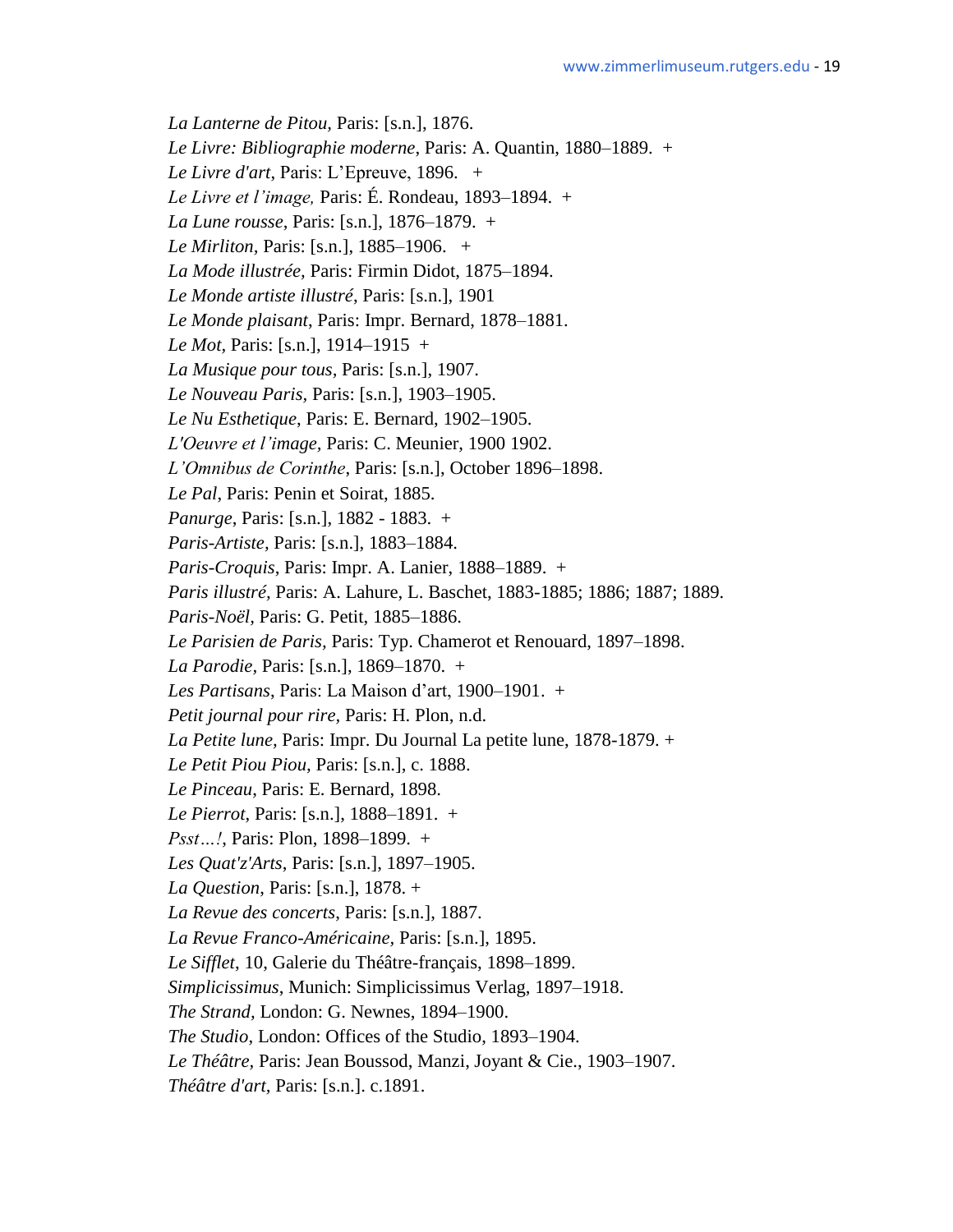*La Lanterne de Pitou,* Paris: [s.n.], 1876.

*Le Livre: Bibliographie moderne*, Paris: A. Quantin, 1880–1889. +

*Le Livre d'art*, Paris: L'Epreuve, 1896. +

*Le Livre et l'image,* Paris: É. Rondeau, 1893–1894. +

*La Lune rousse*, Paris: [s.n.], 1876–1879. +

- *Le Mirliton,* Paris: [s.n.], 1885–1906. +
- *La Mode illustrée,* Paris: Firmin Didot, 1875–1894.
- *Le Monde artiste illustré*, Paris: [s.n.], 1901
- *Le Monde plaisant*, Paris: Impr. Bernard, 1878–1881.

*Le Mot,* Paris: [s.n.], 1914–1915 +

- *La Musique pour tous,* Paris: [s.n.], 1907.
- *Le Nouveau Paris,* Paris: [s.n.], 1903–1905.
- *Le Nu Esthetique*, Paris: E. Bernard, 1902–1905.
- *L'Oeuvre et l'image,* Paris: C. Meunier, 1900 1902.
- *L'Omnibus de Corinthe*, Paris: [s.n.], October 1896–1898.
- *Le Pal*, Paris: Penin et Soirat, 1885.
- *Panurge*, Paris: [s.n.], 1882 1883. +
- *Paris-Artiste,* Paris: [s.n.], 1883–1884.
- *Paris-Croquis*, Paris: Impr. A. Lanier, 1888–1889. +
- *Paris illustré,* Paris: A. Lahure, L. Baschet, 1883-1885; 1886; 1887; 1889.
- *Paris-Noël,* Paris: G. Petit, 1885–1886.
- *Le Parisien de Paris,* Paris: Typ. Chamerot et Renouard, 1897–1898.
- *La Parodie,* Paris: [s.n.], 1869–1870. +
- *Les Partisans*, Paris: La Maison d'art, 1900–1901. +
- *Petit journal pour rire,* Paris: H. Plon, n.d.
- *La Petite lune,* Paris: Impr. Du Journal La petite lune, 1878-1879. +
- *Le Petit Piou Piou,* Paris: [s.n.], c. 1888.
- *Le Pinceau*, Paris: E. Bernard, 1898.
- *Le Pierrot*, Paris: [s.n.], 1888–1891. +
- *Psst…!*, Paris: Plon, 1898–1899. +
- *Les Quat'z'Arts*, Paris: [s.n.], 1897–1905.
- *La Question*, Paris: [s.n.], 1878. +
- *La Revue des concerts*, Paris: [s.n.], 1887.
- *La Revue Franco-Américaine,* Paris: [s.n.], 1895.
- *Le Sifflet*, 10, Galerie du Théâtre-français, 1898–1899.
- *Simplicissimus*, Munich: Simplicissimus Verlag, 1897–1918.
- *The Strand,* London: G. Newnes, 1894–1900.
- *The Studio*, London: Offices of the Studio, 1893–1904.
- *Le Théâtre,* Paris: Jean Boussod, Manzi, Joyant & Cie., 1903–1907.
- *Théâtre d'art,* Paris: [s.n.]. c.1891.